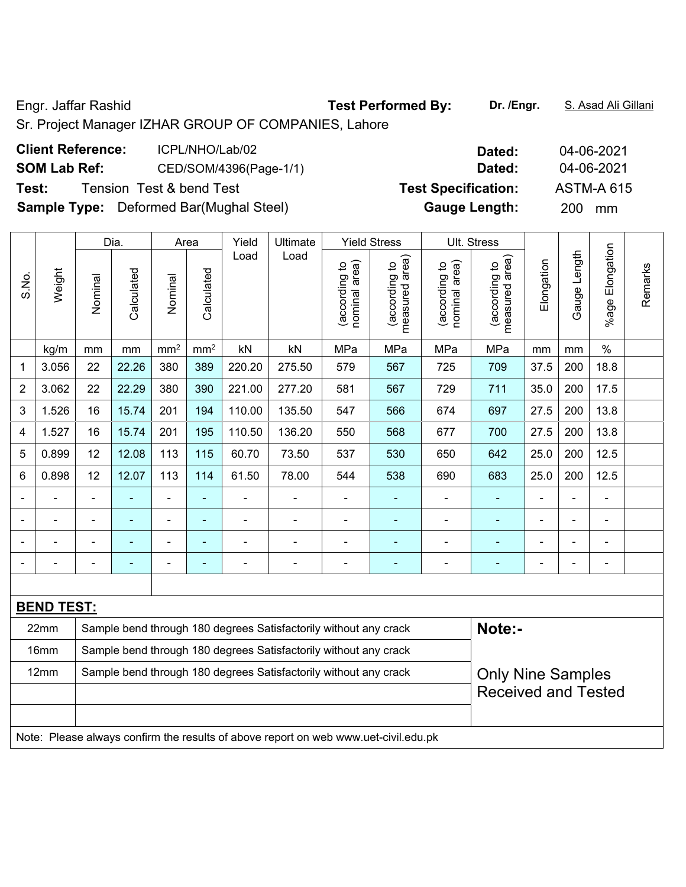Engr. Jaffar Rashid **Test Performed By: Dr. /Engr.** S. Asad Ali Gillani

Sr. Project Manager IZHAR GROUP OF COMPANIES, Lahore

| <b>Client Reference:</b> | ICPL/NHO/Lab/02                                | Dated:                     | 04-06-2021        |
|--------------------------|------------------------------------------------|----------------------------|-------------------|
| <b>SOM Lab Ref:</b>      | CED/SOM/4396(Page-1/1)                         | Dated:                     | 04-06-2021        |
| Test:                    | Tension Test & bend Test                       | <b>Test Specification:</b> | <b>ASTM-A 615</b> |
|                          | <b>Sample Type:</b> Deformed Bar(Mughal Steel) | <b>Gauge Length:</b>       | <b>200</b><br>mm  |

|                |                                                                          |         | Dia.       |                 | Area            | Yield  | Ultimate                                                         |                                | <b>Yield Stress</b>                |                                | Ult. Stress                        |            |                          |                    |         |
|----------------|--------------------------------------------------------------------------|---------|------------|-----------------|-----------------|--------|------------------------------------------------------------------|--------------------------------|------------------------------------|--------------------------------|------------------------------------|------------|--------------------------|--------------------|---------|
| S.No.          | Weight                                                                   | Nominal | Calculated | Nominal         | Calculated      | Load   | Load                                                             | nominal area)<br>(according to | area)<br>(according to<br>measured | nominal area)<br>(according to | area)<br>(according to<br>measured | Elongation | Gauge Length             | Elongation<br>%age | Remarks |
|                | kg/m                                                                     | mm      | mm         | mm <sup>2</sup> | mm <sup>2</sup> | kN     | kN                                                               | MPa                            | MPa                                | MPa                            | MPa                                | mm         | mm                       | $\%$               |         |
| 1              | 3.056                                                                    | 22      | 22.26      | 380             | 389             | 220.20 | 275.50                                                           | 579                            | 567                                | 725                            | 709                                | 37.5       | 200                      | 18.8               |         |
| $\overline{2}$ | 3.062                                                                    | 22      | 22.29      | 380             | 390             | 221.00 | 277.20                                                           | 581                            | 567                                | 729                            | 711                                | 35.0       | 200                      | 17.5               |         |
| 3              | 1.526                                                                    | 16      | 15.74      | 201             | 194             | 110.00 | 135.50                                                           | 547                            | 566                                | 674                            | 697                                | 27.5       | 200                      | 13.8               |         |
| 4              | 1.527                                                                    | 16      | 15.74      | 201             | 195             | 110.50 | 136.20                                                           | 550                            | 568                                | 677                            | 700                                | 27.5       | 200                      | 13.8               |         |
| 5              | 0.899                                                                    | 12      | 12.08      | 113             | 115             | 60.70  | 73.50                                                            | 537                            | 530                                | 650                            | 642                                | 25.0       | 200                      | 12.5               |         |
| 6              | 0.898                                                                    | 12      | 12.07      | 113             | 114             | 61.50  | 78.00                                                            | 544                            | 538                                | 690                            | 683                                | 25.0       | 200                      | 12.5               |         |
|                | ۰                                                                        |         |            | ÷,              | ä,              | ۰      |                                                                  | $\qquad \qquad \blacksquare$   | $\overline{\phantom{0}}$           | ÷,                             |                                    |            | ä,                       | ä,                 |         |
|                |                                                                          |         |            |                 | ۰               |        |                                                                  |                                |                                    |                                |                                    |            | $\overline{\phantom{0}}$ | $\blacksquare$     |         |
|                |                                                                          |         |            | ۰               | ۰               |        |                                                                  |                                | -                                  |                                |                                    |            |                          | -                  |         |
|                |                                                                          |         |            |                 |                 |        |                                                                  | $\blacksquare$                 |                                    |                                |                                    |            | $\blacksquare$           | $\blacksquare$     |         |
|                |                                                                          |         |            |                 |                 |        |                                                                  |                                |                                    |                                |                                    |            |                          |                    |         |
|                | <b>BEND TEST:</b>                                                        |         |            |                 |                 |        |                                                                  |                                |                                    |                                |                                    |            |                          |                    |         |
|                | 22mm<br>Sample bend through 180 degrees Satisfactorily without any crack |         |            |                 |                 |        | Note:-                                                           |                                |                                    |                                |                                    |            |                          |                    |         |
|                | 16mm                                                                     |         |            |                 |                 |        | Sample bend through 180 degrees Satisfactorily without any crack |                                |                                    |                                |                                    |            |                          |                    |         |
|                | 12mm                                                                     |         |            |                 |                 |        | Sample bend through 180 degrees Satisfactorily without any crack |                                |                                    |                                | <b>Only Nine Samples</b>           |            |                          |                    |         |
|                |                                                                          |         |            |                 |                 |        |                                                                  |                                |                                    |                                | <b>Received and Tested</b>         |            |                          |                    |         |

Note: Please always confirm the results of above report on web www.uet-civil.edu.pk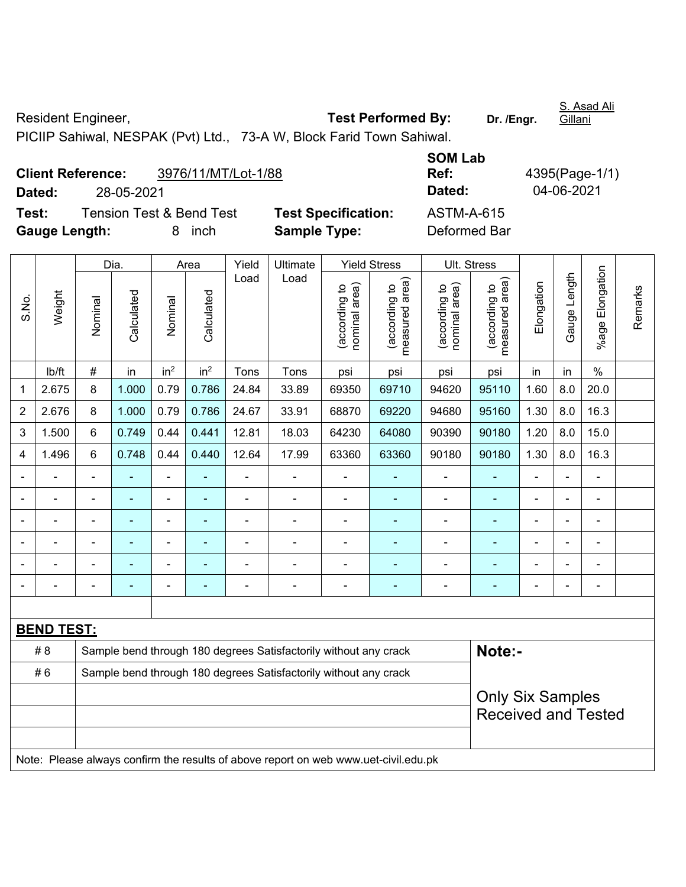Resident Engineer, **Test Performed By:** Dr. /Engr. Gillani PICIIP Sahiwal, NESPAK (Pvt) Ltd., 73-A W, Block Farid Town Sahiwal.

**Client Reference:** 3976/11/MT/Lot-1/88 **SOM Lab Ref:** 4395(Page-1/1) **Dated:** 28-05-2021 **Dated:** 04-06-2021 **Test:** Tension Test & Bend Test **Test Specification:** ASTM-A-615 **Gauge Length:** 8 inch **Sample Type:** Deformed Bar

|                |                                                                                     |                                                                  | Dia.           |                 | Area            | Yield | Ultimate                                                         |                                | <b>Yield Stress</b>             |                                | Ult. Stress                     |                          |                |                 |         |
|----------------|-------------------------------------------------------------------------------------|------------------------------------------------------------------|----------------|-----------------|-----------------|-------|------------------------------------------------------------------|--------------------------------|---------------------------------|--------------------------------|---------------------------------|--------------------------|----------------|-----------------|---------|
| S.No.          | Weight                                                                              | Nominal                                                          | Calculated     | Nominal         | Calculated      | Load  | Load                                                             | nominal area)<br>(according to | measured area)<br>(according to | nominal area)<br>(according to | measured area)<br>(according to | Elongation               | Gauge Length   | %age Elongation | Remarks |
|                | lb/ft                                                                               | $\#$                                                             | in             | in <sup>2</sup> | in <sup>2</sup> | Tons  | Tons                                                             | psi                            | psi                             | psi                            | psi                             | in                       | in             | $\%$            |         |
| 1              | 2.675                                                                               | 8                                                                | 1.000          | 0.79            | 0.786           | 24.84 | 33.89                                                            | 69350                          | 69710                           | 94620                          | 95110                           | 1.60                     | 8.0            | 20.0            |         |
| $\overline{2}$ | 2.676                                                                               | 8                                                                | 1.000          | 0.79            | 0.786           | 24.67 | 33.91                                                            | 68870                          | 69220                           | 94680                          | 95160                           | 1.30                     | 8.0            | 16.3            |         |
| 3              | 1.500                                                                               | 6                                                                | 0.749          | 0.44            | 0.441           | 12.81 | 18.03                                                            | 64230                          | 64080                           | 90390                          | 90180                           | 1.20                     | 8.0            | 15.0            |         |
| 4              | 1.496                                                                               | 6                                                                | 0.748          | 0.44            | 0.440           | 12.64 | 17.99                                                            | 63360                          | 63360                           | 90180                          | 90180                           | 1.30                     | 8.0            | 16.3            |         |
|                |                                                                                     |                                                                  |                | $\blacksquare$  |                 |       | $\blacksquare$                                                   |                                |                                 |                                | $\blacksquare$                  |                          |                | $\blacksquare$  |         |
|                |                                                                                     | ä,                                                               | $\blacksquare$ | ÷,              | ÷               | ä,    | $\qquad \qquad \blacksquare$                                     | $\blacksquare$                 | $\overline{\phantom{a}}$        | ÷,                             | ÷                               | $\overline{\phantom{a}}$ | ä,             | $\blacksquare$  |         |
|                |                                                                                     | $\blacksquare$                                                   | $\blacksquare$ | ÷,              | $\sim$          | ÷     | $\blacksquare$                                                   | $\blacksquare$                 | $\blacksquare$                  | $\blacksquare$                 | $\blacksquare$                  | $\blacksquare$           | $\blacksquare$ | $\blacksquare$  |         |
|                |                                                                                     | $\blacksquare$                                                   | ÷              | $\blacksquare$  |                 | ÷     | ÷,                                                               | $\blacksquare$                 |                                 | ÷                              | ÷                               | Ĭ.                       | $\blacksquare$ | $\blacksquare$  |         |
|                |                                                                                     | $\blacksquare$                                                   | $\blacksquare$ | $\blacksquare$  | $\blacksquare$  | ÷     | $\frac{1}{2}$                                                    | $\blacksquare$                 | $\overline{\phantom{a}}$        | $\blacksquare$                 | $\blacksquare$                  | $\blacksquare$           | ÷              | $\blacksquare$  |         |
|                |                                                                                     | Ē,                                                               |                |                 | ä,              |       | ÷                                                                |                                | $\blacksquare$                  |                                | $\blacksquare$                  |                          | ÷              | $\blacksquare$  |         |
|                |                                                                                     |                                                                  |                |                 |                 |       |                                                                  |                                |                                 |                                |                                 |                          |                |                 |         |
|                | <b>BEND TEST:</b>                                                                   |                                                                  |                |                 |                 |       |                                                                  |                                |                                 |                                |                                 |                          |                |                 |         |
|                | #8                                                                                  |                                                                  |                |                 |                 |       | Sample bend through 180 degrees Satisfactorily without any crack |                                |                                 |                                | Note:-                          |                          |                |                 |         |
|                | #6                                                                                  | Sample bend through 180 degrees Satisfactorily without any crack |                |                 |                 |       |                                                                  |                                |                                 |                                |                                 |                          |                |                 |         |
|                |                                                                                     | <b>Only Six Samples</b>                                          |                |                 |                 |       |                                                                  |                                |                                 |                                |                                 |                          |                |                 |         |
|                |                                                                                     |                                                                  |                |                 |                 |       |                                                                  |                                | <b>Received and Tested</b>      |                                |                                 |                          |                |                 |         |
|                |                                                                                     |                                                                  |                |                 |                 |       |                                                                  |                                |                                 |                                |                                 |                          |                |                 |         |
|                | Note: Please always confirm the results of above report on web www.uet-civil.edu.pk |                                                                  |                |                 |                 |       |                                                                  |                                |                                 |                                |                                 |                          |                |                 |         |

S. Asad Ali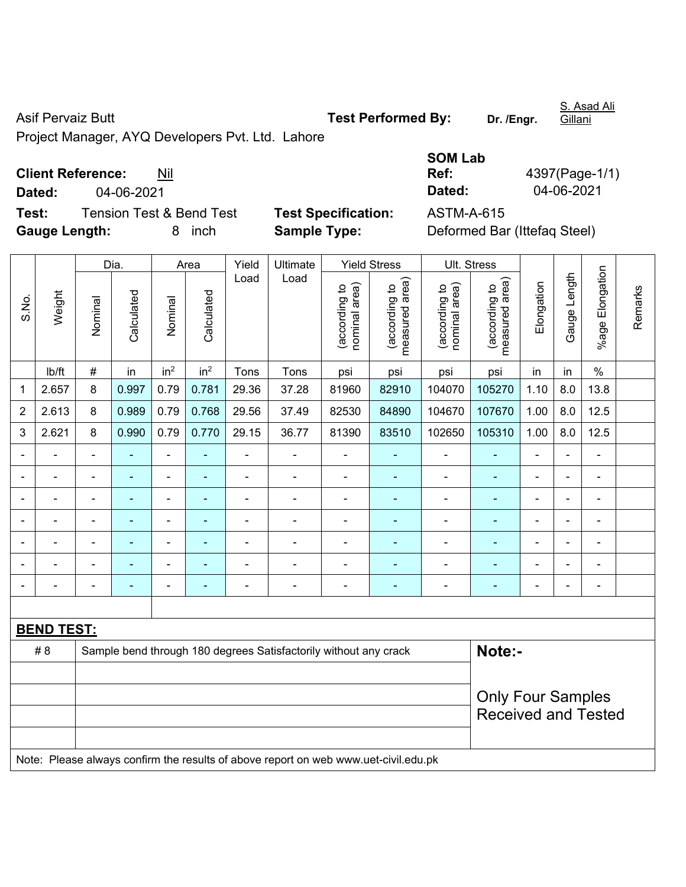Asif Pervaiz Butt **Test Performed By:** Dr. /Engr.

S. Asad Ali Gillani

Project Manager, AYQ Developers Pvt. Ltd. Lahore

# **Client Reference:** Nil

**Dated:** 04-06-2021 **Dated:** 04-06-2021

**Test:** Tension Test & Bend Test **Test Specification:** ASTM-A-615 **Gauge Length:** 8 inch **Sample Type:** Deformed Bar (Ittefaq Steel)

| SOM Lab |                |
|---------|----------------|
| Ref:    | 4397(Page-1/1) |
| Dated:  | 04-06-2021     |

|                          |                                                                                     |                | Dia.           |                          | Area<br>Yield            |                | Ultimate                                                         |                                | <b>Yield Stress</b>                         | Ult. Stress                    |                                 |                |                |                          |         |
|--------------------------|-------------------------------------------------------------------------------------|----------------|----------------|--------------------------|--------------------------|----------------|------------------------------------------------------------------|--------------------------------|---------------------------------------------|--------------------------------|---------------------------------|----------------|----------------|--------------------------|---------|
| S.No.                    | Weight                                                                              | Nominal        | Calculated     | Nominal                  | Calculated               | Load           | Load                                                             | (according to<br>nominal area) | (according to<br>measured area)<br>measured | nominal area)<br>(according to | (according to<br>measured area) | Elongation     | Gauge Length   | Elongation<br>$%$ age I  | Remarks |
|                          | lb/ft                                                                               | $\#$           | in             | in <sup>2</sup>          | in <sup>2</sup>          | Tons           | Tons                                                             | psi                            | psi                                         | psi                            | psi                             | in             | in             | $\%$                     |         |
| 1                        | 2.657                                                                               | 8              | 0.997          | 0.79                     | 0.781                    | 29.36          | 37.28                                                            | 81960                          | 82910                                       | 104070                         | 105270                          | 1.10           | 8.0            | 13.8                     |         |
| $\overline{2}$           | 2.613                                                                               | 8              | 0.989          | 0.79                     | 0.768                    | 29.56          | 37.49                                                            | 82530                          | 84890                                       | 104670                         | 107670                          | 1.00           | 8.0            | 12.5                     |         |
| 3                        | 2.621                                                                               | 8              | 0.990          | 0.79                     | 0.770                    | 29.15          | 36.77                                                            | 81390                          | 83510                                       | 102650                         | 105310                          | 1.00           | 8.0            | 12.5                     |         |
|                          |                                                                                     |                |                | ä,                       |                          | ä,             | $\blacksquare$                                                   | $\blacksquare$                 |                                             | $\blacksquare$                 | ä,                              |                | L.             | L,                       |         |
|                          |                                                                                     |                |                | ÷                        |                          | ÷              | $\blacksquare$                                                   | $\blacksquare$                 |                                             | $\blacksquare$                 |                                 |                | $\blacksquare$ | $\blacksquare$           |         |
| $\blacksquare$           | $\blacksquare$                                                                      | $\blacksquare$ | ÷              | ÷,                       | $\blacksquare$           | $\blacksquare$ | $\blacksquare$                                                   | $\blacksquare$                 |                                             | $\blacksquare$                 | ÷                               | $\blacksquare$ | $\blacksquare$ | $\blacksquare$           |         |
| $\overline{\phantom{0}}$ | $\blacksquare$                                                                      | $\blacksquare$ | ۰              | $\overline{\phantom{0}}$ | ٠                        | ÷              | $\blacksquare$                                                   | $\overline{\phantom{a}}$       | $\blacksquare$                              | $\blacksquare$                 | ٠                               | $\blacksquare$ | ÷,             | $\overline{\phantom{a}}$ |         |
|                          | L.                                                                                  | $\blacksquare$ | $\blacksquare$ | ÷                        | $\overline{\phantom{0}}$ | ÷              | $\blacksquare$                                                   | $\blacksquare$                 | ٠                                           | $\blacksquare$                 | $\blacksquare$                  |                | $\blacksquare$ | $\blacksquare$           |         |
|                          |                                                                                     |                |                | $\overline{a}$           |                          |                |                                                                  | $\blacksquare$                 | ٠                                           | $\blacksquare$                 | $\blacksquare$                  |                |                | $\blacksquare$           |         |
|                          |                                                                                     |                |                | $\blacksquare$           | $\blacksquare$           | $\blacksquare$ | $\blacksquare$                                                   | $\blacksquare$                 | ٠                                           | $\blacksquare$                 | ÷                               | $\blacksquare$ | $\blacksquare$ | $\blacksquare$           |         |
|                          |                                                                                     |                |                |                          |                          |                |                                                                  |                                |                                             |                                |                                 |                |                |                          |         |
|                          | <b>BEND TEST:</b>                                                                   |                |                |                          |                          |                |                                                                  |                                |                                             |                                |                                 |                |                |                          |         |
|                          | #8                                                                                  |                |                |                          |                          |                | Sample bend through 180 degrees Satisfactorily without any crack |                                |                                             |                                | Note:-                          |                |                |                          |         |
|                          |                                                                                     |                |                |                          |                          |                |                                                                  |                                |                                             |                                |                                 |                |                |                          |         |
|                          |                                                                                     |                |                |                          |                          |                |                                                                  |                                |                                             |                                | <b>Only Four Samples</b>        |                |                |                          |         |
|                          |                                                                                     |                |                |                          |                          |                |                                                                  |                                |                                             |                                | <b>Received and Tested</b>      |                |                |                          |         |
|                          | Note: Please always confirm the results of above report on web www.uet-civil.edu.pk |                |                |                          |                          |                |                                                                  |                                |                                             |                                |                                 |                |                |                          |         |